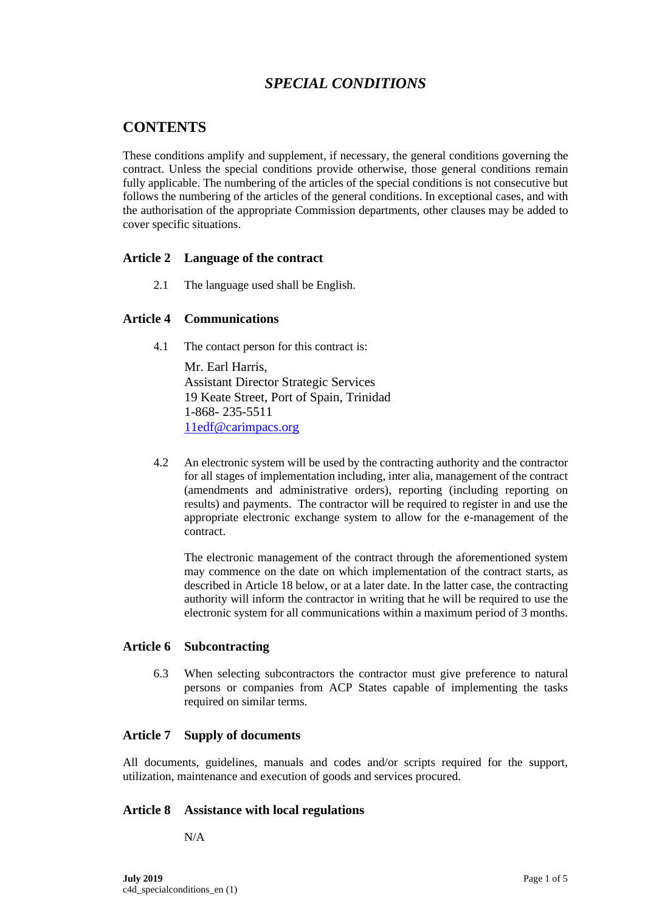# *SPECIAL CONDITIONS*

## **CONTENTS**

These conditions amplify and supplement, if necessary, the general conditions governing the contract. Unless the special conditions provide otherwise, those general conditions remain fully applicable. The numbering of the articles of the special conditions is not consecutive but follows the numbering of the articles of the general conditions. In exceptional cases, and with the authorisation of the appropriate Commission departments, other clauses may be added to cover specific situations.

## **Article 2 Language of the contract**

2.1 The language used shall be English.

## **Article 4 Communications**

4.1 The contact person for this contract is:

Mr. Earl Harris, Assistant Director Strategic Services 19 Keate Street, Port of Spain, Trinidad 1-868- 235-5511 [11edf@carimpacs.org](mailto:11edf@carimpacs.org)

4.2 An electronic system will be used by the contracting authority and the contractor for all stages of implementation including, inter alia, management of the contract (amendments and administrative orders), reporting (including reporting on results) and payments. The contractor will be required to register in and use the appropriate electronic exchange system to allow for the e-management of the contract.

The electronic management of the contract through the aforementioned system may commence on the date on which implementation of the contract starts, as described in Article 18 below, or at a later date. In the latter case, the contracting authority will inform the contractor in writing that he will be required to use the electronic system for all communications within a maximum period of 3 months.

## **Article 6 Subcontracting**

6.3 When selecting subcontractors the contractor must give preference to natural persons or companies from ACP States capable of implementing the tasks required on similar terms.

## **Article 7 Supply of documents**

All documents, guidelines, manuals and codes and/or scripts required for the support, utilization, maintenance and execution of goods and services procured.

## **Article 8 Assistance with local regulations**

N/A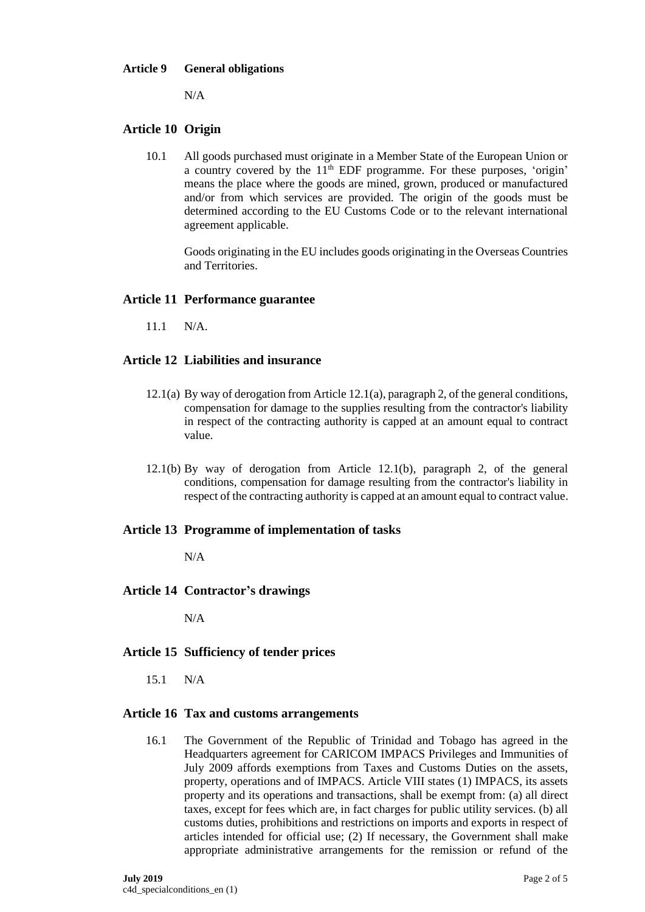#### **Article 9 General obligations**

 $N/A$ 

## **Article 10 Origin**

10.1 All goods purchased must originate in a Member State of the European Union or a country covered by the  $11<sup>th</sup>$  EDF programme. For these purposes, 'origin' means the place where the goods are mined, grown, produced or manufactured and/or from which services are provided. The origin of the goods must be determined according to the EU Customs Code or to the relevant international agreement applicable.

Goods originating in the EU includes goods originating in the Overseas Countries and Territories.

## **Article 11 Performance guarantee**

 $11.1$  N/A

## **Article 12 Liabilities and insurance**

- 12.1(a) By way of derogation from Article 12.1(a), paragraph 2, of the general conditions, compensation for damage to the supplies resulting from the contractor's liability in respect of the contracting authority is capped at an amount equal to contract value.
- 12.1(b) By way of derogation from Article 12.1(b), paragraph 2, of the general conditions, compensation for damage resulting from the contractor's liability in respect of the contracting authority is capped at an amount equal to contract value.

#### **Article 13 Programme of implementation of tasks**

N/A

#### **Article 14 Contractor's drawings**

N/A

## **Article 15 Sufficiency of tender prices**

15.1 N/A

#### **Article 16 Tax and customs arrangements**

16.1 The Government of the Republic of Trinidad and Tobago has agreed in the Headquarters agreement for CARICOM IMPACS Privileges and Immunities of July 2009 affords exemptions from Taxes and Customs Duties on the assets, property, operations and of IMPACS. Article VIII states (1) IMPACS, its assets property and its operations and transactions, shall be exempt from: (a) all direct taxes, except for fees which are, in fact charges for public utility services. (b) all customs duties, prohibitions and restrictions on imports and exports in respect of articles intended for official use; (2) If necessary, the Government shall make appropriate administrative arrangements for the remission or refund of the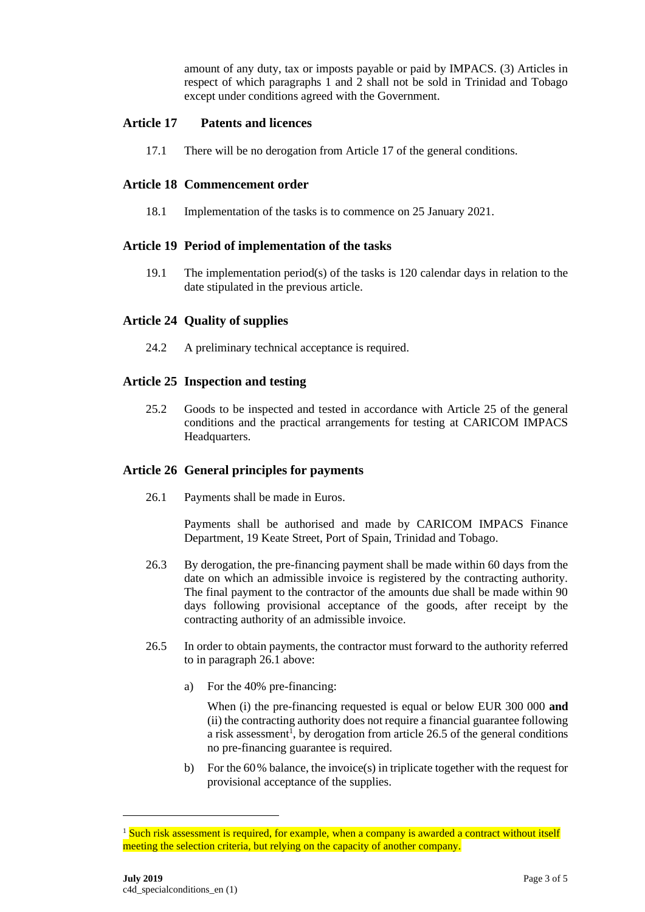amount of any duty, tax or imposts payable or paid by IMPACS. (3) Articles in respect of which paragraphs 1 and 2 shall not be sold in Trinidad and Tobago except under conditions agreed with the Government.

#### **Article 17 Patents and licences**

17.1 There will be no derogation from Article 17 of the general conditions.

## **Article 18 Commencement order**

18.1 Implementation of the tasks is to commence on 25 January 2021.

#### **Article 19 Period of implementation of the tasks**

19.1 The implementation period(s) of the tasks is 120 calendar days in relation to the date stipulated in the previous article.

#### **Article 24 Quality of supplies**

24.2 A preliminary technical acceptance is required.

#### **Article 25 Inspection and testing**

25.2 Goods to be inspected and tested in accordance with Article 25 of the general conditions and the practical arrangements for testing at CARICOM IMPACS Headquarters.

#### **Article 26 General principles for payments**

26.1 Payments shall be made in Euros.

Payments shall be authorised and made by CARICOM IMPACS Finance Department, 19 Keate Street, Port of Spain, Trinidad and Tobago.

- 26.3 By derogation, the pre-financing payment shall be made within 60 days from the date on which an admissible invoice is registered by the contracting authority. The final payment to the contractor of the amounts due shall be made within 90 days following provisional acceptance of the goods, after receipt by the contracting authority of an admissible invoice.
- 26.5 In order to obtain payments, the contractor must forward to the authority referred to in paragraph 26.1 above:
	- a) For the 40% pre-financing:

When (i) the pre-financing requested is equal or below EUR 300 000 **and** (ii) the contracting authority does not require a financial guarantee following a risk assessment<sup>1</sup>, by derogation from article 26.5 of the general conditions no pre-financing guarantee is required.

b) For the  $60\%$  balance, the invoice(s) in triplicate together with the request for provisional acceptance of the supplies.

<sup>&</sup>lt;sup>1</sup> Such risk assessment is required, for example, when a company is awarded a contract without itself meeting the selection criteria, but relying on the capacity of another company.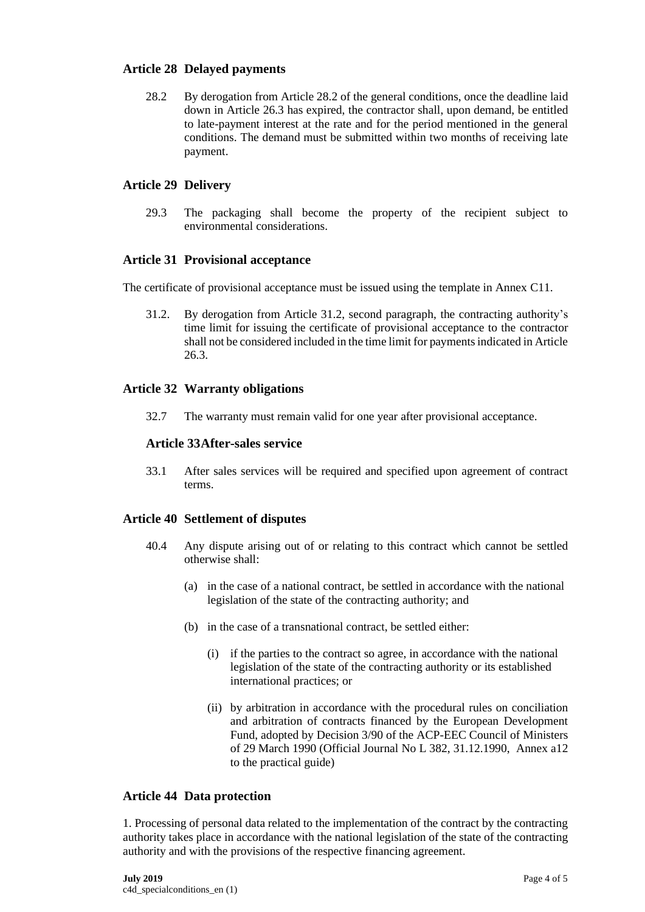## **Article 28 Delayed payments**

28.2 By derogation from Article 28.2 of the general conditions, once the deadline laid down in Article 26.3 has expired, the contractor shall, upon demand, be entitled to late-payment interest at the rate and for the period mentioned in the general conditions. The demand must be submitted within two months of receiving late payment.

#### **Article 29 Delivery**

29.3 The packaging shall become the property of the recipient subject to environmental considerations.

#### **Article 31 Provisional acceptance**

The certificate of provisional acceptance must be issued using the template in Annex C11.

31.2. By derogation from Article 31.2, second paragraph, the contracting authority's time limit for issuing the certificate of provisional acceptance to the contractor shall not be considered included in the time limit for payments indicated in Article 26.3.

#### **Article 32 Warranty obligations**

32.7 The warranty must remain valid for one year after provisional acceptance.

#### **Article 33After-sales service**

33.1 After sales services will be required and specified upon agreement of contract terms.

## **Article 40 Settlement of disputes**

- 40.4 Any dispute arising out of or relating to this contract which cannot be settled otherwise shall:
	- (a) in the case of a national contract, be settled in accordance with the national legislation of the state of the contracting authority; and
	- (b) in the case of a transnational contract, be settled either:
		- (i) if the parties to the contract so agree, in accordance with the national legislation of the state of the contracting authority or its established international practices; or
		- (ii) by arbitration in accordance with the procedural rules on conciliation and arbitration of contracts financed by the European Development Fund, adopted by Decision 3/90 of the ACP-EEC Council of Ministers of 29 March 1990 (Official Journal No L 382, 31.12.1990, Annex a12 to the practical guide)

#### **Article 44 Data protection**

1. Processing of personal data related to the implementation of the contract by the contracting authority takes place in accordance with the national legislation of the state of the contracting authority and with the provisions of the respective financing agreement.